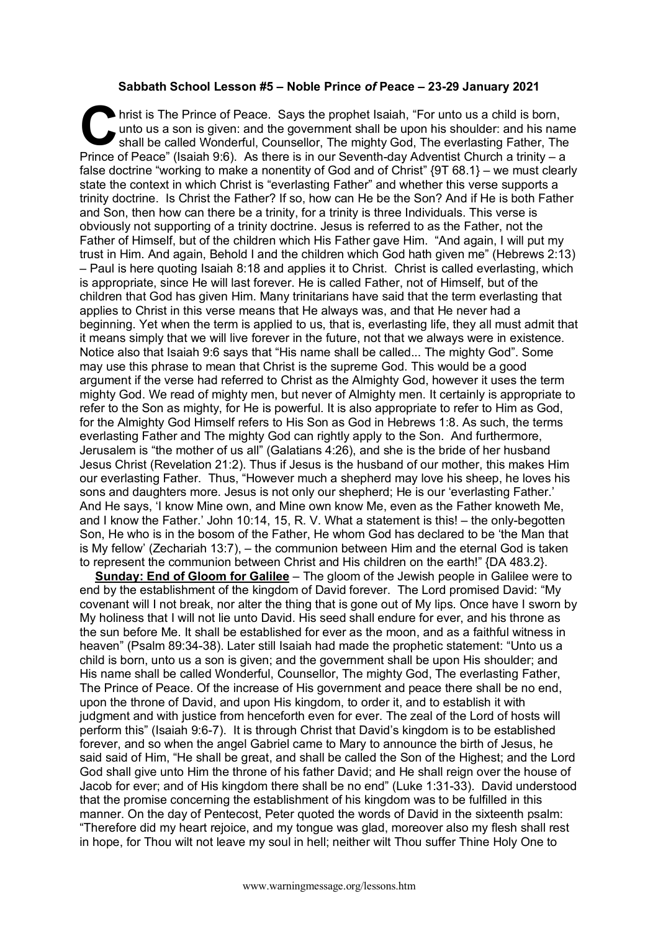## **Sabbath School Lesson #5 – Noble Prince** *of* **Peace – 23-29 January 2021**

hrist is The Prince of Peace. Says the prophet Isaiah, "For unto us a child is born, unto us a son is given: and the government shall be upon his shoulder: and his nar shall be called Wonderful, Counsellor, The mighty God, unto us a son is given: and the government shall be upon his shoulder: and his name shall be called Wonderful, Counsellor, The mighty God, The everlasting Father, The Prince of Peace" (Isaiah 9:6). As there is in our Seventh-day Adventist Church a trinity – a false doctrine "working to make a nonentity of God and of Christ" {9T 68.1} – we must clearly state the context in which Christ is "everlasting Father" and whether this verse supports a trinity doctrine. Is Christ the Father? If so, how can He be the Son? And if He is both Father and Son, then how can there be a trinity, for a trinity is three Individuals. This verse is obviously not supporting of a trinity doctrine. Jesus is referred to as the Father, not the Father of Himself, but of the children which His Father gave Him. "And again, I will put my trust in Him. And again, Behold I and the children which God hath given me" (Hebrews 2:13) – Paul is here quoting Isaiah 8:18 and applies it to Christ. Christ is called everlasting, which is appropriate, since He will last forever. He is called Father, not of Himself, but of the children that God has given Him. Many trinitarians have said that the term everlasting that applies to Christ in this verse means that He always was, and that He never had a beginning. Yet when the term is applied to us, that is, everlasting life, they all must admit that it means simply that we will live forever in the future, not that we always were in existence. Notice also that Isaiah 9:6 says that "His name shall be called... The mighty God". Some may use this phrase to mean that Christ is the supreme God. This would be a good argument if the verse had referred to Christ as the Almighty God, however it uses the term mighty God. We read of mighty men, but never of Almighty men. It certainly is appropriate to refer to the Son as mighty, for He is powerful. It is also appropriate to refer to Him as God, for the Almighty God Himself refers to His Son as God in Hebrews 1:8. As such, the terms everlasting Father and The mighty God can rightly apply to the Son. And furthermore, Jerusalem is "the mother of us all" (Galatians 4:26), and she is the bride of her husband Jesus Christ (Revelation 21:2). Thus if Jesus is the husband of our mother, this makes Him our everlasting Father. Thus, "However much a shepherd may love his sheep, he loves his sons and daughters more. Jesus is not only our shepherd; He is our 'everlasting Father.' And He says, 'I know Mine own, and Mine own know Me, even as the Father knoweth Me, and I know the Father.' John 10:14, 15, R. V. What a statement is this! – the only-begotten Son, He who is in the bosom of the Father, He whom God has declared to be 'the Man that is My fellow' (Zechariah 13:7), – the communion between Him and the eternal God is taken to represent the communion between Christ and His children on the earth!"  ${[DA 483.2]}$ .

**Sunday: End of Gloom for Galilee** – The gloom of the Jewish people in Galilee were to end by the establishment of the kingdom of David forever. The Lord promised David: "My covenant will I not break, nor alter the thing that is gone out of My lips. Once have I sworn by My holiness that I will not lie unto David. His seed shall endure for ever, and his throne as the sun before Me. It shall be established for ever as the moon, and as a faithful witness in heaven" (Psalm 89:34-38). Later still Isaiah had made the prophetic statement: "Unto us a child is born, unto us a son is given; and the government shall be upon His shoulder; and His name shall be called Wonderful, Counsellor, The mighty God, The everlasting Father, The Prince of Peace. Of the increase of His government and peace there shall be no end, upon the throne of David, and upon His kingdom, to order it, and to establish it with judgment and with justice from henceforth even for ever. The zeal of the Lord of hosts will perform this" (Isaiah 9:6-7). It is through Christ that David's kingdom is to be established forever, and so when the angel Gabriel came to Mary to announce the birth of Jesus, he said said of Him, "He shall be great, and shall be called the Son of the Highest; and the Lord God shall give unto Him the throne of his father David; and He shall reign over the house of Jacob for ever; and of His kingdom there shall be no end" (Luke 1:31-33). David understood that the promise concerning the establishment of his kingdom was to be fulfilled in this manner. On the day of Pentecost, Peter quoted the words of David in the sixteenth psalm: "Therefore did my heart rejoice, and my tongue was glad, moreover also my flesh shall rest in hope, for Thou wilt not leave my soul in hell; neither wilt Thou suffer Thine Holy One to